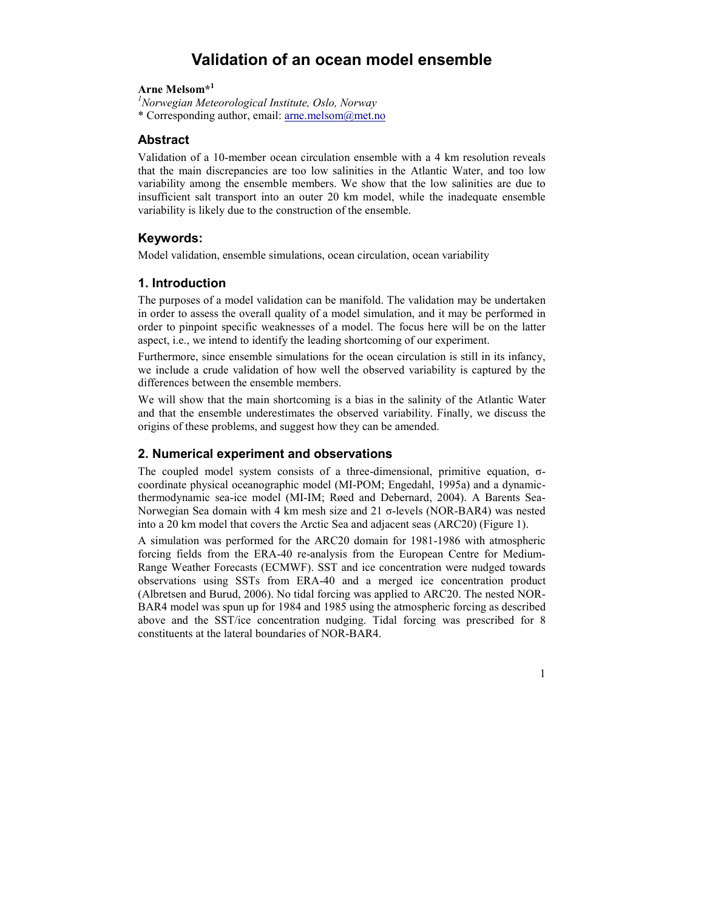# Validation of an ocean model ensemble

### Arne Melsom\*<sup>1</sup>

 $<sup>1</sup>$ Norwegian Meteorological Institute, Oslo, Norway</sup> \* Corresponding author, email: arne.melsom@met.no

## **Abstract**

Validation of a 10-member ocean circulation ensemble with a 4 km resolution reveals that the main discrepancies are too low salinities in the Atlantic Water, and too low variability among the ensemble members. We show that the low salinities are due to insufficient salt transport into an outer 20 km model, while the inadequate ensemble variability is likely due to the construction of the ensemble.

## Keywords:

Model validation, ensemble simulations, ocean circulation, ocean variability

## 1. Introduction

The purposes of a model validation can be manifold. The validation may be undertaken in order to assess the overall quality of a model simulation, and it may be performed in order to pinpoint specific weaknesses of a model. The focus here will be on the latter aspect, i.e., we intend to identify the leading shortcoming of our experiment.

Furthermore, since ensemble simulations for the ocean circulation is still in its infancy, we include a crude validation of how well the observed variability is captured by the differences between the ensemble members.

We will show that the main shortcoming is a bias in the salinity of the Atlantic Water and that the ensemble underestimates the observed variability. Finally, we discuss the origins of these problems, and suggest how they can be amended.

### 2. Numerical experiment and observations

The coupled model system consists of a three-dimensional, primitive equation, σcoordinate physical oceanographic model (MI-POM; Engedahl, 1995a) and a dynamicthermodynamic sea-ice model (MI-IM; Røed and Debernard, 2004). A Barents Sea-Norwegian Sea domain with 4 km mesh size and 21 σ-levels (NOR-BAR4) was nested into a 20 km model that covers the Arctic Sea and adjacent seas (ARC20) (Figure 1).

A simulation was performed for the ARC20 domain for 1981-1986 with atmospheric forcing fields from the ERA-40 re-analysis from the European Centre for Medium-Range Weather Forecasts (ECMWF). SST and ice concentration were nudged towards observations using SSTs from ERA-40 and a merged ice concentration product (Albretsen and Burud, 2006). No tidal forcing was applied to ARC20. The nested NOR-BAR4 model was spun up for 1984 and 1985 using the atmospheric forcing as described above and the SST/ice concentration nudging. Tidal forcing was prescribed for 8 constituents at the lateral boundaries of NOR-BAR4.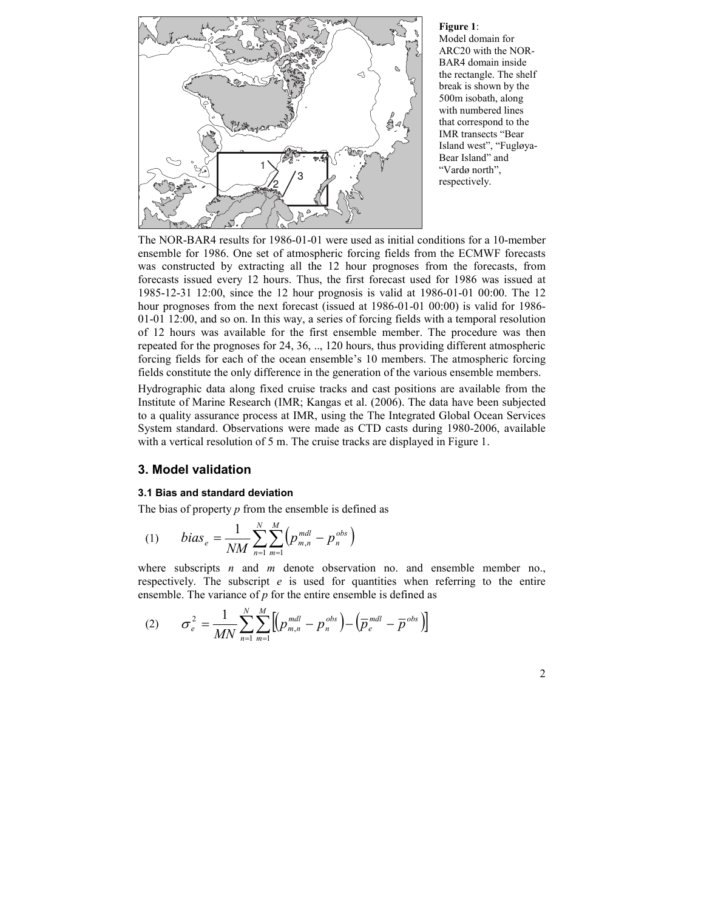

Figure 1: Model domain for ARC20 with the NOR-BAR4 domain inside the rectangle. The shelf break is shown by the 500m isobath, along with numbered lines that correspond to the IMR transects "Bear Island west", "Fugløya-Bear Island" and "Vardø north", respectively.

The NOR-BAR4 results for 1986-01-01 were used as initial conditions for a 10-member ensemble for 1986. One set of atmospheric forcing fields from the ECMWF forecasts was constructed by extracting all the 12 hour prognoses from the forecasts, from forecasts issued every 12 hours. Thus, the first forecast used for 1986 was issued at 1985-12-31 12:00, since the 12 hour prognosis is valid at 1986-01-01 00:00. The 12 hour prognoses from the next forecast (issued at 1986-01-01 00:00) is valid for 1986-01-01 12:00, and so on. In this way, a series of forcing fields with a temporal resolution of 12 hours was available for the first ensemble member. The procedure was then repeated for the prognoses for 24, 36, .., 120 hours, thus providing different atmospheric forcing fields for each of the ocean ensemble's 10 members. The atmospheric forcing fields constitute the only difference in the generation of the various ensemble members.

Hydrographic data along fixed cruise tracks and cast positions are available from the Institute of Marine Research (IMR; Kangas et al. (2006). The data have been subjected to a quality assurance process at IMR, using the The Integrated Global Ocean Services System standard. Observations were made as CTD casts during 1980-2006, available with a vertical resolution of 5 m. The cruise tracks are displayed in Figure 1.

# 3. Model validation

### 3.1 Bias and standard deviation

The bias of property  $p$  from the ensemble is defined as

(1) 
$$
bias_e = \frac{1}{NM} \sum_{n=1}^{N} \sum_{m=1}^{M} (p_{m,n}^{mdl} - p_n^{obs})
$$

where subscripts  $n$  and  $m$  denote observation no. and ensemble member no., respectively. The subscript  $e$  is used for quantities when referring to the entire ensemble. The variance of  $p$  for the entire ensemble is defined as

(2) 
$$
\sigma_e^2 = \frac{1}{MN} \sum_{n=1}^N \sum_{m=1}^M \left[ \left( p_{m,n}^{mdl} - p_n^{obs} \right) - \left( \overline{p}_e^{mdl} - \overline{p}^{obs} \right) \right]
$$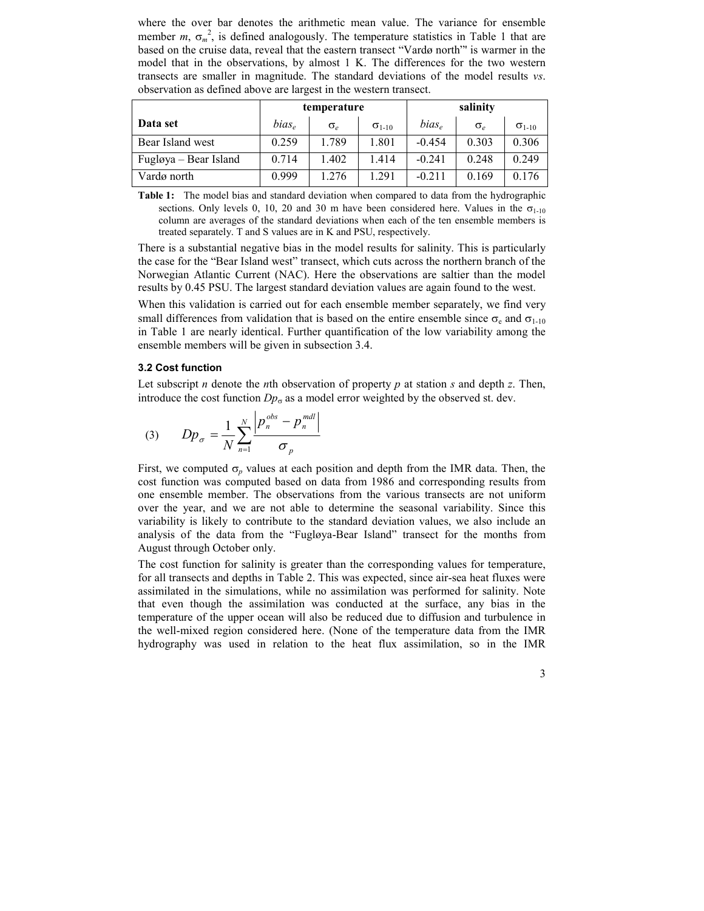where the over bar denotes the arithmetic mean value. The variance for ensemble member  $m, \sigma_m^2$ , is defined analogously. The temperature statistics in Table 1 that are based on the cruise data, reveal that the eastern transect "Vardø north"' is warmer in the model that in the observations, by almost 1 K. The differences for the two western transects are smaller in magnitude. The standard deviations of the model results vs. observation as defined above are largest in the western transect.

|                       | temperature |                  |                 | salinity          |                 |                 |  |
|-----------------------|-------------|------------------|-----------------|-------------------|-----------------|-----------------|--|
| Data set              | $bias_e$    | $\sigma_{\rm c}$ | $\sigma_{1-10}$ | bias <sub>e</sub> | $\sigma_{\rho}$ | $\sigma_{1-10}$ |  |
| Bear Island west      | 0.259       | 1.789            | 1.801           | $-0.454$          | 0.303           | 0.306           |  |
| Fugløya – Bear Island | 0.714       | 1.402            | 1.414           | $-0.241$          | 0.248           | 0.249           |  |
| Vardø north           | 0.999       | 1.276            | 1.291           | $-0.211$          | 0.169           | 0.176           |  |

Table 1: The model bias and standard deviation when compared to data from the hydrographic sections. Only levels 0, 10, 20 and 30 m have been considered here. Values in the  $\sigma_{1-10}$ column are averages of the standard deviations when each of the ten ensemble members is treated separately. T and S values are in K and PSU, respectively.

There is a substantial negative bias in the model results for salinity. This is particularly the case for the "Bear Island west" transect, which cuts across the northern branch of the Norwegian Atlantic Current (NAC). Here the observations are saltier than the model results by 0.45 PSU. The largest standard deviation values are again found to the west.

When this validation is carried out for each ensemble member separately, we find very small differences from validation that is based on the entire ensemble since  $\sigma_e$  and  $\sigma_{1-10}$ in Table 1 are nearly identical. Further quantification of the low variability among the ensemble members will be given in subsection 3.4.

#### 3.2 Cost function

Let subscript *n* denote the *n*th observation of property *p* at station *s* and depth *z*. Then, introduce the cost function  $Dp_{\sigma}$  as a model error weighted by the observed st. dev.

(3) 
$$
Dp_{\sigma} = \frac{1}{N} \sum_{n=1}^{N} \frac{p_n^{obs} - p_n^{md}}{\sigma_p}
$$

First, we computed  $\sigma_p$  values at each position and depth from the IMR data. Then, the cost function was computed based on data from 1986 and corresponding results from one ensemble member. The observations from the various transects are not uniform over the year, and we are not able to determine the seasonal variability. Since this variability is likely to contribute to the standard deviation values, we also include an analysis of the data from the "Fugløya-Bear Island" transect for the months from August through October only.

The cost function for salinity is greater than the corresponding values for temperature, for all transects and depths in Table 2. This was expected, since air-sea heat fluxes were assimilated in the simulations, while no assimilation was performed for salinity. Note that even though the assimilation was conducted at the surface, any bias in the temperature of the upper ocean will also be reduced due to diffusion and turbulence in the well-mixed region considered here. (None of the temperature data from the IMR hydrography was used in relation to the heat flux assimilation, so in the IMR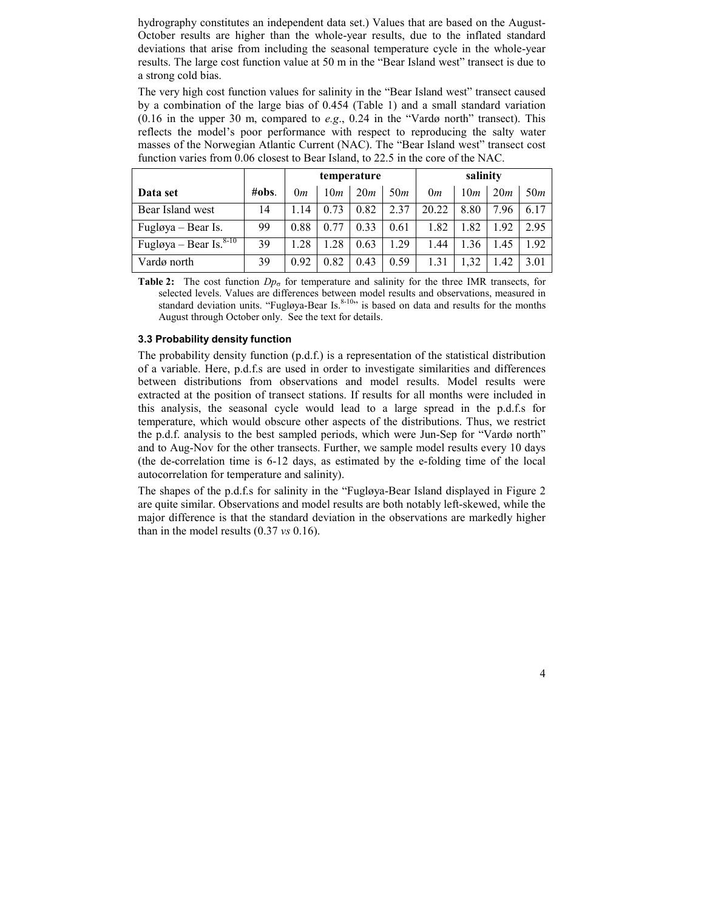hydrography constitutes an independent data set.) Values that are based on the August-October results are higher than the whole-year results, due to the inflated standard deviations that arise from including the seasonal temperature cycle in the whole-year results. The large cost function value at 50 m in the "Bear Island west" transect is due to a strong cold bias.

The very high cost function values for salinity in the "Bear Island west" transect caused by a combination of the large bias of 0.454 (Table 1) and a small standard variation  $(0.16$  in the upper 30 m, compared to e.g., 0.24 in the "Vardø north" transect). This reflects the model's poor performance with respect to reproducing the salty water masses of the Norwegian Atlantic Current (NAC). The "Bear Island west" transect cost function varies from 0.06 closest to Bear Island, to 22.5 in the core of the NAC.

|                                        |          | temperature |      |      | salinity |       |      |      |      |
|----------------------------------------|----------|-------------|------|------|----------|-------|------|------|------|
| Data set                               | $\#obs.$ | 0m          | 10m  | 20m  | 50m      | 0m    | 10m  | 20m  | 50m  |
| Bear Island west                       | 14       | 114         | 0.73 | 0.82 | 2.37     | 20.22 | 8.80 | 7.96 | 6.17 |
| Fugløya – Bear Is.                     | 99       | 0.88        | 0.77 | 0.33 | 0.61     | 1.82  | 1.82 | 1.92 | 2.95 |
| Fugløya – Bear $\overline{Is.^{8-10}}$ | 39       | 1.28        | .28  | 0.63 | 1.29     | 1.44  | 1.36 | 1.45 | 1.92 |
| Vardø north                            | 39       | 0.92        | 0.82 | 0.43 | 0.59     | 1.31  | 1.32 | 1.42 | 3.01 |

**Table 2:** The cost function  $Dp_{\sigma}$  for temperature and salinity for the three IMR transects, for selected levels. Values are differences between model results and observations, measured in standard deviation units. "Fugløya-Bear Is. $8-10$ " is based on data and results for the months August through October only. See the text for details.

#### 3.3 Probability density function

The probability density function (p.d.f.) is a representation of the statistical distribution of a variable. Here, p.d.f.s are used in order to investigate similarities and differences between distributions from observations and model results. Model results were extracted at the position of transect stations. If results for all months were included in this analysis, the seasonal cycle would lead to a large spread in the p.d.f.s for temperature, which would obscure other aspects of the distributions. Thus, we restrict the p.d.f. analysis to the best sampled periods, which were Jun-Sep for "Vardø north" and to Aug-Nov for the other transects. Further, we sample model results every 10 days (the de-correlation time is 6-12 days, as estimated by the e-folding time of the local autocorrelation for temperature and salinity).

The shapes of the p.d.f.s for salinity in the "Fugløya-Bear Island displayed in Figure 2 are quite similar. Observations and model results are both notably left-skewed, while the major difference is that the standard deviation in the observations are markedly higher than in the model results  $(0.37 \text{ vs } 0.16)$ .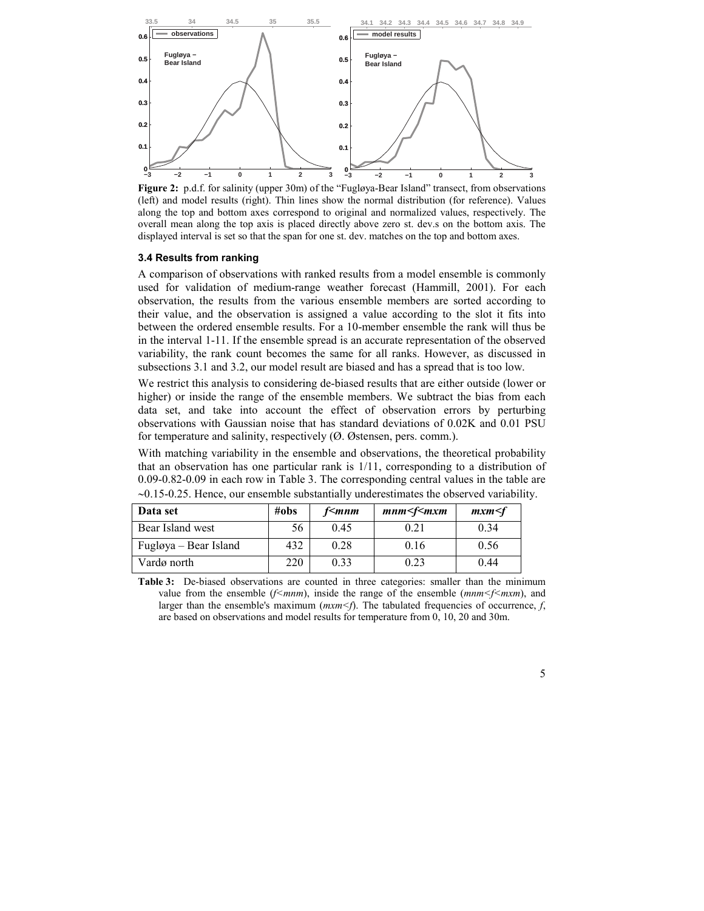

Figure 2: p.d.f. for salinity (upper 30m) of the "Fugløya-Bear Island" transect, from observations (left) and model results (right). Thin lines show the normal distribution (for reference). Values along the top and bottom axes correspond to original and normalized values, respectively. The overall mean along the top axis is placed directly above zero st. dev.s on the bottom axis. The displayed interval is set so that the span for one st. dev. matches on the top and bottom axes.

### 3.4 Results from ranking

A comparison of observations with ranked results from a model ensemble is commonly used for validation of medium-range weather forecast (Hammill, 2001). For each observation, the results from the various ensemble members are sorted according to their value, and the observation is assigned a value according to the slot it fits into between the ordered ensemble results. For a 10-member ensemble the rank will thus be in the interval 1-11. If the ensemble spread is an accurate representation of the observed variability, the rank count becomes the same for all ranks. However, as discussed in subsections 3.1 and 3.2, our model result are biased and has a spread that is too low.

We restrict this analysis to considering de-biased results that are either outside (lower or higher) or inside the range of the ensemble members. We subtract the bias from each data set, and take into account the effect of observation errors by perturbing observations with Gaussian noise that has standard deviations of 0.02K and 0.01 PSU for temperature and salinity, respectively (Ø. Østensen, pers. comm.).

With matching variability in the ensemble and observations, the theoretical probability that an observation has one particular rank is 1/11, corresponding to a distribution of 0.09-0.82-0.09 in each row in Table 3. The corresponding central values in the table are ∼0.15-0.25. Hence, our ensemble substantially underestimates the observed variability.

| Data set              | $\#obs$ | f <mnm< th=""><th><math>mm&lt;</math>f<math>\leq</math>mxm</th><th>mxm &lt; f</th></mnm<> | $mm<$ f $\leq$ mxm | mxm < f |
|-----------------------|---------|-------------------------------------------------------------------------------------------|--------------------|---------|
| Bear Island west      | 56      | 0.45                                                                                      | 0.21               | 0.34    |
| Fugløya – Bear Island | 432     | 0.28                                                                                      | 0.16               | 0.56    |
| Vardø north           | 220     | 0.33                                                                                      | 0.23               | 0.44    |

Table 3: De-biased observations are counted in three categories: smaller than the minimum value from the ensemble ( $f$ <m $nm$ ), inside the range of the ensemble (m $nm$   $f$  <m $xm$ ), and larger than the ensemble's maximum ( $m x m \le f$ ). The tabulated frequencies of occurrence, f, are based on observations and model results for temperature from 0, 10, 20 and 30m.

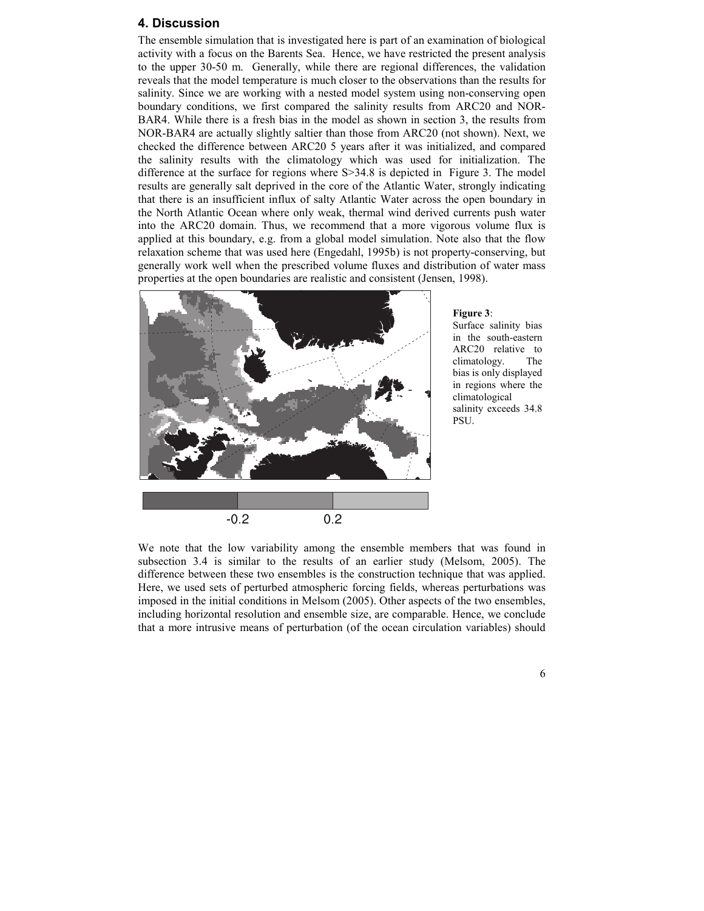### 4. Discussion

The ensemble simulation that is investigated here is part of an examination of biological activity with a focus on the Barents Sea. Hence, we have restricted the present analysis to the upper 30-50 m. Generally, while there are regional differences, the validation reveals that the model temperature is much closer to the observations than the results for salinity. Since we are working with a nested model system using non-conserving open boundary conditions, we first compared the salinity results from ARC20 and NOR-BAR4. While there is a fresh bias in the model as shown in section 3, the results from NOR-BAR4 are actually slightly saltier than those from ARC20 (not shown). Next, we checked the difference between ARC20 5 years after it was initialized, and compared the salinity results with the climatology which was used for initialization. The difference at the surface for regions where S>34.8 is depicted in Figure 3. The model results are generally salt deprived in the core of the Atlantic Water, strongly indicating that there is an insufficient influx of salty Atlantic Water across the open boundary in the North Atlantic Ocean where only weak, thermal wind derived currents push water into the ARC20 domain. Thus, we recommend that a more vigorous volume flux is applied at this boundary, e.g. from a global model simulation. Note also that the flow relaxation scheme that was used here (Engedahl, 1995b) is not property-conserving, but generally work well when the prescribed volume fluxes and distribution of water mass properties at the open boundaries are realistic and consistent (Jensen, 1998).



#### Figure 3:

Surface salinity bias in the south-eastern ARC20 relative to climatology. The bias is only displayed in regions where the climatological salinity exceeds 34.8 PSU.

We note that the low variability among the ensemble members that was found in subsection 3.4 is similar to the results of an earlier study (Melsom, 2005). The difference between these two ensembles is the construction technique that was applied. Here, we used sets of perturbed atmospheric forcing fields, whereas perturbations was imposed in the initial conditions in Melsom (2005). Other aspects of the two ensembles, including horizontal resolution and ensemble size, are comparable. Hence, we conclude that a more intrusive means of perturbation (of the ocean circulation variables) should